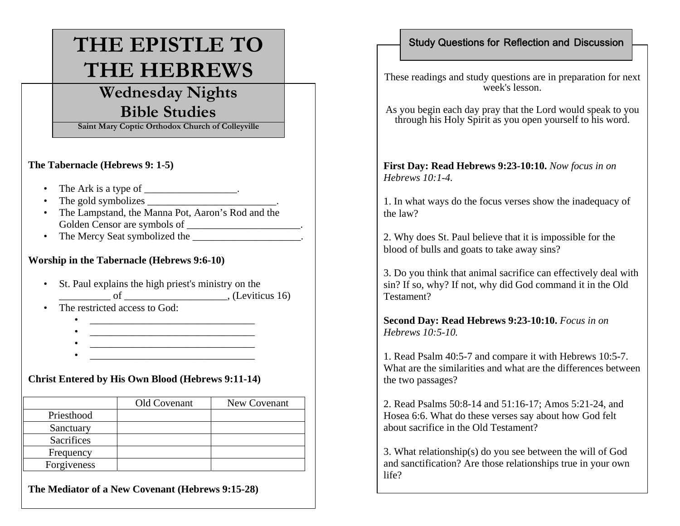# **THE EPISTLE TO THE HEBREWS**

## **Wednesday Nights Bible Studies**

**Saint Mary Coptic Orthodox Church of Colleyville**

#### **The Tabernacle (Hebrews 9: 1-5)**

- The Ark is a type of  $\_\_\_\_\_\_\_\_\_\_\_\_\_\_\_\_\_\_\_\_\_\_\_$ .
- The gold symbolizes \_\_\_\_\_\_\_\_\_\_\_\_\_\_\_\_\_\_\_\_\_\_\_\_\_.
- The Lampstand, the Manna Pot, Aaron's Rod and the Golden Censor are symbols of \_\_\_\_\_\_\_\_\_\_\_\_\_\_\_\_\_\_\_\_\_\_.
- The Mercy Seat symbolized the \_\_\_\_\_\_\_\_\_\_\_\_\_\_\_\_\_\_\_\_\_\_\_.

#### **Worship in the Tabernacle (Hebrews 9:6-10)**

- St. Paul explains the high priest's ministry on the \_\_\_\_\_\_\_\_\_\_ of \_\_\_\_\_\_\_\_\_\_\_\_\_\_\_\_\_\_\_\_, (Leviticus 16)
- The restricted access to God:

•

- \_\_\_\_\_\_\_\_\_\_\_\_\_\_\_\_\_\_\_\_\_\_\_\_\_\_\_\_\_\_\_\_ • $\overline{\phantom{a}}$  , we can assume that the contract of the contract of  $\overline{\phantom{a}}$
- •\_\_\_\_\_\_\_\_\_\_\_\_\_\_\_\_\_\_\_\_\_\_\_\_\_\_\_\_\_\_\_\_
- •\_\_\_\_\_\_\_\_\_\_\_\_\_\_\_\_\_\_\_\_\_\_\_\_\_\_\_\_\_\_\_\_

#### **Christ Entered by His Own Blood (Hebrews 9:11-14)**

|                   | Old Covenant | New Covenant |
|-------------------|--------------|--------------|
| Priesthood        |              |              |
| Sanctuary         |              |              |
| <b>Sacrifices</b> |              |              |
| Frequency         |              |              |
| Forgiveness       |              |              |

**The Mediator of a New Covenant (Hebrews 9:15-28)**

### Study Questions for Reflection and Discussion

These readings and study questions are in preparation for next week's lesson.

As you begin each day pray that the Lord would speak to you through his Holy Spirit as you open yourself to his word.

**First Day: Read Hebrews 9:23-10:10.** *Now focus in on Hebrews 10:1-4.* 

1. In what ways do the focus verses show the inadequacy of the law?

2. Why does St. Paul believe that it is impossible for the blood of bulls and goats to take away sins?

3. Do you think that animal sacrifice can effectively deal with sin? If so, why? If not, why did God command it in the Old Testament?

**Second Day: Read Hebrews 9:23-10:10.** *Focus in on Hebrews 10:5-10.* 

1. Read Psalm 40:5-7 and compare it with Hebrews 10:5-7. What are the similarities and what are the differences between the two passages?

2. Read Psalms 50:8-14 and 51:16-17; Amos 5:21-24, and Hosea 6:6. What do these verses say about how God felt about sacrifice in the Old Testament?

3. What relationship(s) do you see between the will of God and sanctification? Are those relationships true in your own life?